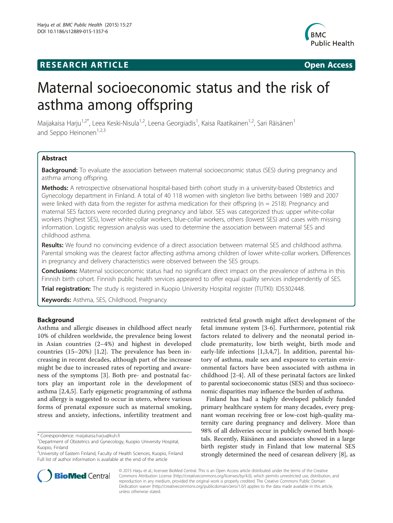# **RESEARCH ARTICLE Example 2014 12:30 The SEAR CHA R TIGGS**



# Maternal socioeconomic status and the risk of asthma among offspring

Maijakaisa Harju<sup>1,2\*</sup>, Leea Keski-Nisula<sup>1,2</sup>, Leena Georgiadis<sup>1</sup>, Kaisa Raatikainen<sup>1,2</sup>, Sari Räisänen<sup>1</sup> and Seppo Heinonen $1,2,3$ 

# Abstract

Background: To evaluate the association between maternal socioeconomic status (SES) during pregnancy and asthma among offspring.

Methods: A retrospective observational hospital-based birth cohort study in a university-based Obstetrics and Gynecology department in Finland. A total of 40 118 women with singleton live births between 1989 and 2007 were linked with data from the register for asthma medication for their offspring ( $n = 2518$ ). Pregnancy and maternal SES factors were recorded during pregnancy and labor. SES was categorized thus: upper white-collar workers (highest SES), lower white-collar workers, blue-collar workers, others (lowest SES) and cases with missing information. Logistic regression analysis was used to determine the association between maternal SES and childhood asthma.

Results: We found no convincing evidence of a direct association between maternal SES and childhood asthma. Parental smoking was the clearest factor affecting asthma among children of lower white-collar workers. Differences in pregnancy and delivery characteristics were observed between the SES groups.

**Conclusions:** Maternal socioeconomic status had no significant direct impact on the prevalence of asthma in this Finnish birth cohort. Finnish public health services appeared to offer equal quality services independently of SES.

Trial registration: The study is registered in Kuopio University Hospital register (TUTKI): ID[5302448](https://www.psshp.fi).

Keywords: Asthma, SES, Childhood, Pregnancy

# Background

Asthma and allergic diseases in childhood affect nearly 10% of children worldwide, the prevalence being lowest in Asian countries (2–4%) and highest in developed countries (15–20%) [\[1](#page-6-0),[2\]](#page-6-0). The prevalence has been increasing in recent decades, although part of the increase might be due to increased rates of reporting and awareness of the symptoms [[3](#page-6-0)]. Both pre- and postnatal factors play an important role in the development of asthma [[2,4,5](#page-6-0)]. Early epigenetic programming of asthma and allergy is suggested to occur in utero, where various forms of prenatal exposure such as maternal smoking, stress and anxiety, infections, infertility treatment and

restricted fetal growth might affect development of the fetal immune system [\[3](#page-6-0)-[6](#page-6-0)]. Furthermore, potential risk factors related to delivery and the neonatal period include prematurity, low birth weight, birth mode and early-life infections [[1,3,4,7](#page-6-0)]. In addition, parental history of asthma, male sex and exposure to certain environmental factors have been associated with asthma in childhood [[2-4](#page-6-0)]. All of these perinatal factors are linked to parental socioeconomic status (SES) and thus socioeconomic disparities may influence the burden of asthma.

Finland has had a highly developed publicly funded primary healthcare system for many decades, every pregnant woman receiving free or low-cost high-quality maternity care during pregnancy and delivery. More than 98% of all deliveries occur in publicly owned birth hospitals. Recently, Räisänen and associates showed in a large birth register study in Finland that low maternal SES strongly determined the need of cesarean delivery [[8\]](#page-6-0), as



© 2015 Harju et al.; licensee BioMed Central. This is an Open Access article distributed under the terms of the Creative Commons Attribution License [\(http://creativecommons.org/licenses/by/4.0\)](http://creativecommons.org/licenses/by/4.0), which permits unrestricted use, distribution, and reproduction in any medium, provided the original work is properly credited. The Creative Commons Public Domain Dedication waiver [\(http://creativecommons.org/publicdomain/zero/1.0/](http://creativecommons.org/publicdomain/zero/1.0/)) applies to the data made available in this article, unless otherwise stated.

<sup>\*</sup> Correspondence: [maijakaisa.harju@kuh.fi](mailto:maijakaisa.harju@kuh.fi) <sup>1</sup>

Department of Obstetrics and Gynecology, Kuopio University Hospital, Kuopio, Finland

<sup>&</sup>lt;sup>2</sup>University of Eastern Finland, Faculty of Health Sciences, Kuopio, Finland Full list of author information is available at the end of the article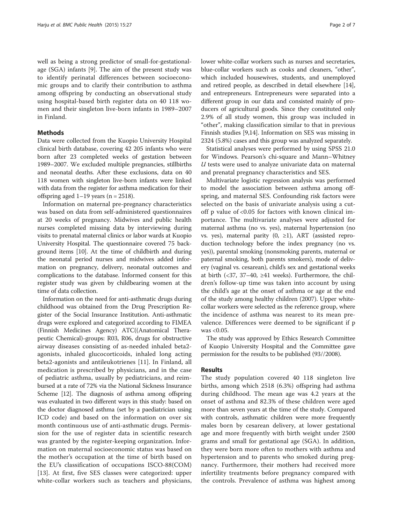well as being a strong predictor of small-for-gestationalage (SGA) infants [[9\]](#page-6-0). The aim of the present study was to identify perinatal differences between socioeconomic groups and to clarify their contribution to asthma among offspring by conducting an observational study using hospital-based birth register data on 40 118 women and their singleton live-born infants in 1989–2007 in Finland.

# Methods

Data were collected from the Kuopio University Hospital clinical birth database, covering 42 205 infants who were born after 23 completed weeks of gestation between 1989–2007. We excluded multiple pregnancies, stillbirths and neonatal deaths. After these exclusions, data on 40 118 women with singleton live-born infants were linked with data from the register for asthma medication for their offspring aged  $1-19$  years (n = 2518).

Information on maternal pre-pregnancy characteristics was based on data from self-administered questionnaires at 20 weeks of pregnancy. Midwives and public health nurses completed missing data by interviewing during visits to prenatal maternal clinics or labor wards at Kuopio University Hospital. The questionnaire covered 75 background items [[10](#page-6-0)]. At the time of childbirth and during the neonatal period nurses and midwives added information on pregnancy, delivery, neonatal outcomes and complications to the database. Informed consent for this register study was given by childbearing women at the time of data collection.

Information on the need for anti-asthmatic drugs during childhood was obtained from the Drug Prescription Register of the Social Insurance Institution. Anti-asthmatic drugs were explored and categorized according to FIMEA (Finnish Medicines Agency) ATC((Anatomical Therapeutic Chemical)-groups: R03, R06, drugs for obstructive airway diseases consisting of as-needed inhaled beta2 agonists, inhaled glucocorticoids, inhaled long acting beta2-agonists and antileukotrienes [\[11](#page-6-0)]. In Finland, all medication is prescribed by physicians, and in the case of pediatric asthma, usually by pediatricians, and reimbursed at a rate of 72% via the National Sickness Insurance Scheme [[12](#page-6-0)]. The diagnosis of asthma among offspring was evaluated in two different ways in this study: based on the doctor diagnosed asthma (set by a paediatrician using ICD code) and based on the information on over six month continuous use of anti-asthmatic drugs. Permission for the use of register data in scientific research was granted by the register-keeping organization. Information on maternal socioeconomic status was based on the mother's occupation at the time of birth based on the EU's classification of occupations ISCO-88(COM) [[13\]](#page-6-0). At first, five SES classes were categorized: upper white-collar workers such as teachers and physicians, lower white-collar workers such as nurses and secretaries, blue-collar workers such as cooks and cleaners, "other", which included housewives, students, and unemployed and retired people, as described in detail elsewhere [[14](#page-6-0)], and entrepreneurs. Entrepreneurs were separated into a different group in our data and consisted mainly of producers of agricultural goods. Since they constituted only 2.9% of all study women, this group was included in "other", making classification similar to that in previous Finnish studies [\[9,14\]](#page-6-0). Information on SES was missing in 2324 (5.8%) cases and this group was analyzed separately.

Statistical analyses were performed by using SPSS 21.0 for Windows. Pearson's chi-square and Mann–Whitney  $U$  tests were used to analyze univariate data on maternal and prenatal pregnancy characteristics and SES.

Multivariate logistic regression analysis was performed to model the association between asthma among offspring, and maternal SES. Confounding risk factors were selected on the basis of univariate analysis using a cutoff p value of <0.05 for factors with known clinical importance. The multivariate analyses were adjusted for maternal asthma (no vs. yes), maternal hypertension (no vs. yes), maternal parity (0, ≥1), ART (assisted reproduction technology before the index pregnancy (no vs. yes)), parental smoking (nonsmoking parents, maternal or paternal smoking, both parents smokers), mode of delivery (vaginal vs. cesarean), child's sex and gestational weeks at birth (<37, 37–40,  $\geq$ 41 weeks). Furthermore, the children's follow-up time was taken into account by using the child's age at the onset of asthma or age at the end of the study among healthy children (2007). Upper whitecollar workers were selected as the reference group, where the incidence of asthma was nearest to its mean prevalence. Differences were deemed to be significant if p was <0.05.

The study was approved by Ethics Research Committee of Kuopio University Hospital and the Committee gave permission for the results to be published (93//2008).

#### Results

The study population covered 40 118 singleton live births, among which 2518 (6.3%) offspring had asthma during childhood. The mean age was 4.2 years at the onset of asthma and 82.3% of these children were aged more than seven years at the time of the study. Compared with controls, asthmatic children were more frequently males born by cesarean delivery, at lower gestational age and more frequently with birth weight under 2500 grams and small for gestational age (SGA). In addition, they were born more often to mothers with asthma and hypertension and to parents who smoked during pregnancy. Furthermore, their mothers had received more infertility treatments before pregnancy compared with the controls. Prevalence of asthma was highest among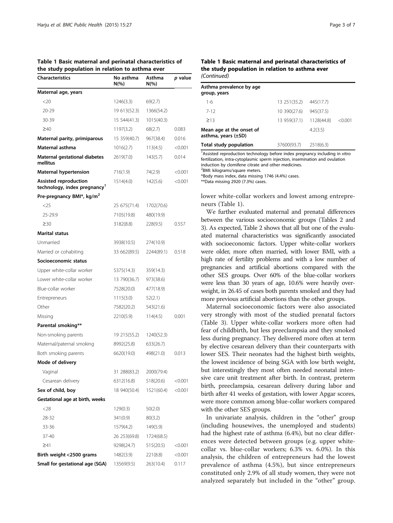Table 1 Basic maternal and perinatal characteristics of the study population in relation to asthma ever

| <b>Characteristics</b>                                                   | No asthma<br>$N(\%)$ | Asthma<br>$N(\%)$ | p value |
|--------------------------------------------------------------------------|----------------------|-------------------|---------|
| Maternal age, years                                                      |                      |                   |         |
| <20                                                                      | 1246(3.3)            | 69(2.7)           |         |
| 20-29                                                                    | 19 613 (52.3)        | 1366(54.2)        |         |
| 30-39                                                                    | 15 544 (41.3)        | 1015(40.3)        |         |
| $\geq 40$                                                                | 1197(3.2)            | 68(2.7)           | 0.083   |
| Maternal parity, primiparous                                             | 15 359(40.7)         | 967(38.4)         | 0.016   |
| Maternal asthma                                                          | 1016(2.7)            | 113(4.5)          | < 0.001 |
| Maternal gestational diabetes<br>mellitus                                | 2619(7.0)            | 143(5.7)          | 0.014   |
| <b>Maternal hypertension</b>                                             | 716(1.9)             | 74(2.9)           | < 0.001 |
| <b>Assisted reproduction</b><br>technology, index pregnancy <sup>1</sup> | 1514(4.0)            | 142(5.6)          | < 0.001 |
| Pre-pregnancy BMI*, kg/m <sup>2</sup>                                    |                      |                   |         |
| $<$ 25                                                                   | 25 675 (71.4)        | 1702(70.6)        |         |
| 25-29.9                                                                  | 7105(19.8)           | 480(19.9)         |         |
| $\geq$ 30                                                                | 3182(8.8)            | 228(9.5)          | 0.557   |
| <b>Marital status</b>                                                    |                      |                   |         |
| Unmarried                                                                | 3938(10.5)           | 274(10.9)         |         |
| Married or cohabiting                                                    | 33 662(89.5)         | 2244(89.1)        | 0.518   |
| Socioeconomic status                                                     |                      |                   |         |
| Upper white-collar worker                                                | 5375(14.3)           | 359(14.3)         |         |
| Lower white-collar worker                                                | 13 790(36.7)         | 973(38.6)         |         |
| Blue-collar worker                                                       | 7528(20.0)           | 477(18.9)         |         |
| Entrepreneurs                                                            | 1115(3.0)            | 52(2.1)           |         |
| Other                                                                    | 7582(20.2)           | 543(21.6)         |         |
| Missing                                                                  | 2210(5.9)            | 114(4.5)          | 0.001   |
| Parental smoking**                                                       |                      |                   |         |
| Non-smoking parents                                                      | 19 215 (55.2)        | 1240(52.3)        |         |
| Maternal/paternal smoking                                                | 8992(25.8)           | 633(26.7)         |         |
| Both smoking parents                                                     | 6620(19.0)           | 498(21.0)         | 0.013   |
| Mode of delivery                                                         |                      |                   |         |
| Vaginal                                                                  | 31 288(83.2)         | 2000(79.4)        |         |
| Cesarean delivery                                                        | 6312(16.8)           | 518(20.6)         | < 0.001 |
| Sex of child, boy                                                        | 18 940(50.4)         | 1521(60.4)        | < 0.001 |
| Gestational age at birth, weeks                                          |                      |                   |         |
| $<$ 28                                                                   | 129(0.3)             | 50(2.0)           |         |
| 28-32                                                                    | 341(0.9)             | 80(3.2)           |         |
| 33-36                                                                    | 1579(4.2)            | 149(5.9)          |         |
| 37-40                                                                    | 26 253 (69.8)        | 1724(68.5)        |         |
| $\geq 41$                                                                | 9298(24.7)           | 515(20.5)         | < 0.001 |
| Birth weight <2500 grams                                                 | 1482(3.9)            | 221(8.8)          | < 0.001 |
| Small for gestational age (SGA)                                          | 13569(9.5)           | 263(10.4)         | 0.117   |

#### Table 1 Basic maternal and perinatal characteristics of the study population in relation to asthma ever (Continued)

| Asthma prevalence by age<br>group, years             |                         |           |         |
|------------------------------------------------------|-------------------------|-----------|---------|
| $1-6$                                                | 13 251 (35.2)           | 445(17.7) |         |
| $7 - 12$                                             | 10 390(27.6)            | 945(37.5) |         |
| $\geq$ 13                                            | 13 959(37.1) 1128(44.8) |           | < 0.001 |
| Mean age at the onset of<br>asthma, years $(\pm SD)$ |                         | 4.2(3.5)  |         |
| Total study population                               | 37600(93.7)             | 2518(6.3) |         |

<sup>1</sup> Assisted reproduction technology before index pregnancy including in vitro fertilization, intra-cytoplasmic sperm injection, insemination and ovulation induction by clomifene citrate and other medicines.

2 BMI: kilograms/square meters.

\*Body mass index, data missing 1746 (4.4%) cases.

\*\*Data missing 2920 (7.3%) cases.

lower white-collar workers and lowest among entrepreneurs (Table 1).

We further evaluated maternal and prenatal differences between the various socioeconomic groups (Tables [2](#page-3-0) and [3](#page-4-0)). As expected, Table [2](#page-3-0) shows that all but one of the evaluated maternal characteristics was significantly associated with socioeconomic factors. Upper white-collar workers were older, more often married, with lower BMI, with a high rate of fertility problems and with a low number of pregnancies and artificial abortions compared with the other SES groups. Over 60% of the blue-collar workers were less than 30 years of age, 10.6% were heavily overweight, in 26.45 of cases both parents smoked and they had more previous artificial abortions than the other groups.

Maternal socioeconomic factors were also associated very strongly with most of the studied prenatal factors (Table [3\)](#page-4-0). Upper white-collar workers more often had fear of childbirth, but less preeclampsia and they smoked less during pregnancy. They delivered more often at term by elective cesarean delivery than their counterparts with lower SES. Their neonates had the highest birth weights, the lowest incidence of being SGA with low birth weight, but interestingly they most often needed neonatal intensive care unit treatment after birth. In contrast, preterm birth, preeclampsia, cesarean delivery during labor and birth after 41 weeks of gestation, with lower Apgar scores, were more common among blue-collar workers compared with the other SES groups.

In univariate analysis, children in the "other" group (including housewives, the unemployed and students) had the highest rate of asthma (6.4%), but no clear differences were detected between groups (e.g. upper whitecollar vs. blue-collar workers; 6.3% vs. 6.0%). In this analysis, the children of entrepreneurs had the lowest prevalence of asthma (4.5%), but since entrepreneurs constituted only 2.9% of all study women, they were not analyzed separately but included in the "other" group.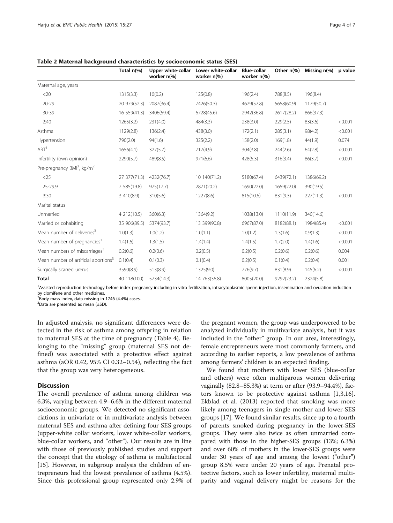|                                                  | Total n(%)    | Upper white-collar<br>worker n(%) | Lower white-collar<br>worker n(%) | <b>Blue-collar</b><br>worker n(%) | Other n(%) | Missing $n\ll 0$ | p value |
|--------------------------------------------------|---------------|-----------------------------------|-----------------------------------|-----------------------------------|------------|------------------|---------|
| Maternal age, years                              |               |                                   |                                   |                                   |            |                  |         |
| $<$ 20                                           | 1315(3.3)     | 10(0.2)                           | 125(0.8)                          | 196(2.4)                          | 788(8.5)   | 196(8.4)         |         |
| $20 - 29$                                        | 20 979(52.3)  | 2087(36.4)                        | 7426(50.3)                        | 4629(57.8)                        | 5658(60.9) | 1179(50.7)       |         |
| 30-39                                            | 16 559 (41.3) | 3406(59.4)                        | 6728(45.6)                        | 2942(36.8)                        | 2617(28.2) | 866(37.3)        |         |
| $\geq 40$                                        | 1265(3.2)     | 231(4.0)                          | 484(3.3)                          | 238(3.0)                          | 229(2.5)   | 83(3.6)          | < 0.001 |
| Asthma                                           | 1129(2.8)     | 136(2.4)                          | 438(3.0)                          | 172(2.1)                          | 285(3.1)   | 98(4.2)          | < 0.001 |
| Hypertension                                     | 790(2.0)      | 94(1.6)                           | 325(2.2)                          | 158(2.0)                          | 169(1.8)   | 44(1.9)          | 0.074   |
| ART <sup>1</sup>                                 | 1656(4.1)     | 327(5.7)                          | 717(4.9)                          | 304(3.8)                          | 244(2.6)   | 64(2.8)          | < 0.001 |
| Infertility (own opinion)                        | 2290(5.7)     | 489(8.5)                          | 971(6.6)                          | 428(5.3)                          | 316(3.4)   | 86(3.7)          | < 0.001 |
| Pre-pregnancy $BMl2$ , kg/m <sup>2</sup>         |               |                                   |                                   |                                   |            |                  |         |
| $<$ 25                                           | 27 377 (71.3) | 4232(76.7)                        | 10 140 (71.2)                     | 5180(67.4)                        | 6439(72.1) | 1386(69.2)       |         |
| 25-29.9                                          | 7 585 (19.8)  | 975(17.7)                         | 2871(20.2)                        | 1690(22.0)                        | 1659(22.0) | 390(19.5)        |         |
| $\geq 30$                                        | 3 410(8.9)    | 310(5.6)                          | 1227(8.6)                         | 815(10.6)                         | 831(9.3)   | 227(11.3)        | < 0.001 |
| Marital status                                   |               |                                   |                                   |                                   |            |                  |         |
| Unmarried                                        | 4 212(10.5)   | 360(6.3)                          | 1364(9.2)                         | 1038(13.0)                        | 1110(11.9) | 340(14.6)        |         |
| Married or cohabiting                            | 35 906(89.5)  | 5374(93.7)                        | 13 399(90.8)                      | 6967(87.0)                        | 8182(88.1) | 1984(85.4)       | < 0.001 |
| Mean number of deliveries <sup>3</sup>           | 1.0(1.3)      | 1.0(1.2)                          | 1.0(1.1)                          | 1.0(1.2)                          | 1.3(1.6)   | 0.9(1.3)         | < 0.001 |
| Mean number of pregnancies <sup>3</sup>          | 1.4(1.6)      | 1.3(1.5)                          | 1.4(1.4)                          | 1.4(1.5)                          | 1.7(2.0)   | 1.4(1.6)         | < 0.001 |
| Mean numbers of miscarriages <sup>3</sup>        | 0.2(0.6)      | 0.2(0.6)                          | 0.2(0.5)                          | 0.2(0.5)                          | 0.2(0.6)   | 0.2(0.6)         | 0.004   |
| Mean number of artificial abortions <sup>3</sup> | 0.1(0.4)      | 0.1(0.3)                          | 0.1(0.4)                          | 0.2(0.5)                          | 0.1(0.4)   | 0.2(0.4)         | 0.001   |
| Surgically scarred urerus                        | 3590(8.9)     | 513(8.9)                          | 1325(9.0)                         | 776(9.7)                          | 831(8.9)   | 145(6.2)         | < 0.001 |
| <b>Total</b>                                     | 40 118 (100)  | 5734(14.3)                        | 14 763 (36.8)                     | 8005(20.0)                        | 9292(23.2) | 2324(5.8)        |         |

<span id="page-3-0"></span>Table 2 Maternal background characteristics by socioeconomic status (SES)

<sup>1</sup>Assisted reproduction technology before index pregnancy including in vitro fertilization, intracytoplasmic sperm injection, insemination and ovulation induction by clomifene and other medizines.

 $2$ Body mass index, data missing in 1746 (4.4%) cases.

3 Data are presented as mean (±SD).

In adjusted analysis, no significant differences were detected in the risk of asthma among offspring in relation to maternal SES at the time of pregnancy (Table [4\)](#page-4-0). Belonging to the "missing" group (maternal SES not defined) was associated with a protective effect against asthma (aOR 0.42, 95% CI 0.32–0.54), reflecting the fact that the group was very heterogeneous.

## **Discussion**

The overall prevalence of asthma among children was 6.3%, varying between 4.9–6.6% in the different maternal socioeconomic groups. We detected no significant associations in univariate or in multivariate analysis between maternal SES and asthma after defining four SES groups (upper-white collar workers, lower white-collar workers, blue-collar workers, and "other"). Our results are in line with those of previously published studies and support the concept that the etiology of asthma is multifactorial [[15\]](#page-6-0). However, in subgroup analysis the children of entrepreneurs had the lowest prevalence of asthma (4.5%). Since this professional group represented only 2.9% of

the pregnant women, the group was underpowered to be analyzed individually in multivariate analysis, but it was included in the "other" group. In our area, interestingly, female entrepreneurs were most commonly farmers, and according to earlier reports, a low prevalence of asthma among farmers' children is an expected finding.

We found that mothers with lower SES (blue-collar and others) were often multiparous women delivering vaginally (82.8–85.3%) at term or after (93.9–94.4%), factors known to be protective against asthma [[1,3,16](#page-6-0)]. Ekblad et al. (2013) reported that smoking was more likely among teenagers in single-mother and lower-SES groups [[17](#page-6-0)]. We found similar results, since up to a fourth of parents smoked during pregnancy in the lower-SES groups. They were also twice as often unmarried compared with those in the higher-SES groups (13%; 6.3%) and over 60% of mothers in the lower-SES groups were under 30 years of age and among the lowest ("other") group 8.5% were under 20 years of age. Prenatal protective factors, such as lower infertility, maternal multiparity and vaginal delivery might be reasons for the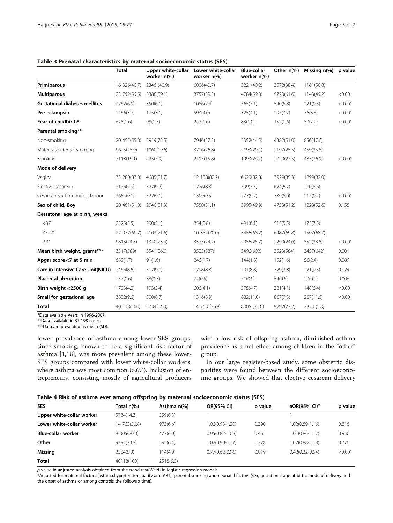<span id="page-4-0"></span>Table 3 Prenatal characteristics by maternal socioeconomic status (SES)

|                                      | <b>Total</b>  | Upper white-collar<br>worker n(%) | Lower white-collar<br>worker n(%) | <b>Blue-collar</b><br>worker n(%) | Other n(%) | Missing $n$ (%) | p value |
|--------------------------------------|---------------|-----------------------------------|-----------------------------------|-----------------------------------|------------|-----------------|---------|
| Primiparous                          | 16 326(40.7)  | 2346 (40.9)                       | 6006(40.7)                        | 3221(40.2)                        | 3572(38.4) | 1181(50.8)      |         |
| <b>Multiparous</b>                   | 23 792(59.5)  | 3388(59.1)                        | 8757(59.3)                        | 4784(59.8)                        | 5720(61.6) | 1143(49.2)      | < 0.001 |
| <b>Gestational diabetes mellitus</b> | 2762(6.9)     | 350(6.1)                          | 1086(7.4)                         | 565(7.1)                          | 540(5.8)   | 221(9.5)        | < 0.001 |
| Pre-eclampsia                        | 1466(3.7)     | 175(3.1)                          | 593(4.0)                          | 325(4.1)                          | 297(3.2)   | 76(3.3)         | < 0.001 |
| Fear of childbirth*                  | 625(1.6)      | 98(1.7)                           | 242(1.6)                          | 83(1.0)                           | 152(1.6)   | 50(2.2)         | < 0.001 |
| Parental smoking**                   |               |                                   |                                   |                                   |            |                 |         |
| Non-smoking                          | 20 455(55.0)  | 3919(72.5)                        | 7946(57.3)                        | 3352(44.5)                        | 4382(51.0) | 856(47.6)       |         |
| Maternal/paternal smoking            | 9625(25.9)    | 1060(19.6)                        | 3716(26.8)                        | 2193(29.1)                        | 2197(25.5) | 459(25.5)       |         |
| Smoking                              | 7118(19.1)    | 425(7.9)                          | 2195(15.8)                        | 1993(26.4)                        | 2020(23.5) | 485(26.9)       | < 0.001 |
| Mode of delivery                     |               |                                   |                                   |                                   |            |                 |         |
| Vaginal                              | 33 280(83.0)  | 4685(81.7)                        | 12 138 (82.2)                     | 6629(82.8)                        | 7929(85.3) | 1899(82.0)      |         |
| Elective cesarean                    | 3176(7.9)     | 527(9.2)                          | 1226(8.3)                         | 599(7.5)                          | 624(6.7)   | 200(8.6)        |         |
| Cesarean section during labour       | 3654(9.1)     | 522(9.1)                          | 1399(9.5)                         | 777(9.7)                          | 739(8.0)   | 217(9.4)        | < 0.001 |
| Sex of child, Boy                    | 20 461 (51.0) | 2940(51.3)                        | 7550(51.1)                        | 3995(49.9)                        | 4753(51.2) | 1223(52.6)      | 0.155   |
| Gestatonal age at birth, weeks       |               |                                   |                                   |                                   |            |                 |         |
| $<$ 37                               | 2325(5.5)     | 290(5.1)                          | 854(5.8)                          | 491(6.1)                          | 515(5.5)   | 175(7.5)        |         |
| $37 - 40$                            | 27 977(69.7)  | 4103(71.6)                        | 10 334 (70.0)                     | 5456(68.2)                        | 6487(69.8) | 1597(68.7)      |         |
| $\geq 41$                            | 9813(24.5)    | 1340(23.4)                        | 3575(24.2)                        | 2056(25.7)                        | 2290(24.6) | 552(23.8)       | < 0.001 |
| Mean birth weight, grams***          | 3517(589)     | 3541(560)                         | 3525(587)                         | 3496(602)                         | 3523(584)  | 3457(642)       | 0.001   |
| Apgar score <7 at 5 min              | 689(1.7)      | 91(1.6)                           | 246(1.7)                          | 144(1.8)                          | 152(1.6)   | 56(2.4)         | 0.089   |
| Care in Intensive Care Unit(NICU)    | 3466(8.6)     | 517(9.0)                          | 1298(8.8)                         | 701(8.8)                          | 729(7.8)   | 221(9.5)        | 0.024   |
| <b>Placental abruption</b>           | 257(0.6)      | 38(0.7)                           | 74(0.5)                           | 71(0.9)                           | 54(0.6)    | 20(0.9)         | 0.006   |
| Birth weight <2500 g                 | 1703(4.2)     | 193(3.4)                          | 606(4.1)                          | 375(4.7)                          | 381(4.1)   | 148(6.4)        | < 0.001 |
| Small for gestational age            | 3832(9.6)     | 500(8.7)                          | 1316(8.9)                         | 882(11.0)                         | 867(9.3)   | 267(11.6)       | < 0.001 |
| <b>Total</b>                         | 40 118 (100)  | 5734(14.3)                        | 14 763 (36.8)                     | 8005 (20.0)                       | 9292(23.2) | 2324 (5.8)      |         |

\*Data available years in 1996-2007.

\*\*Data available in 37 198 cases.

\*\*\*Data are presented as mean (SD).

lower prevalence of asthma among lower-SES groups, since smoking, known to be a significant risk factor of asthma [[1,18\]](#page-6-0), was more prevalent among these lower-SES groups compared with lower white-collar workers, where asthma was most common (6.6%). Inclusion of entrepreneurs, consisting mostly of agricultural producers

with a low risk of offspring asthma, diminished asthma prevalence as a net effect among children in the "other" group.

In our large register-based study, some obstetric disparities were found between the different socioeconomic groups. We showed that elective cesarean delivery

|  |  |  | Table 4 Risk of asthma ever among offspring by maternal socioeconomic status (SES) |
|--|--|--|------------------------------------------------------------------------------------|
|--|--|--|------------------------------------------------------------------------------------|

| $14000$ $11000$ $10000$ $1000$ $1000$ $1000$ $1000$ $1000$ $1000$ $1000$ $1000$ $1000$ |               |             |                     |         |                     |         |  |  |
|----------------------------------------------------------------------------------------|---------------|-------------|---------------------|---------|---------------------|---------|--|--|
| <b>SES</b>                                                                             | Total n(%)    | Asthma n(%) | <b>OR(95% CI)</b>   | p value | aOR(95% Cl)*        | p value |  |  |
| Upper white-collar worker                                                              | 5734(14.3)    | 359(6.3)    |                     |         |                     |         |  |  |
| Lower white-collar worker                                                              | 14 763 (36.8) | 973(6.6)    | 1.06(0.93-1.20)     | 0.390   | $1.02(0.89 - 1.16)$ | 0.816   |  |  |
| <b>Blue-collar worker</b>                                                              | 8 005 (20.0)  | 477(6.0)    | $0.95(0.82 - 1.09)$ | 0.465   | $1.01(0.86 - 1.17)$ | 0.950   |  |  |
| Other                                                                                  | 9292(23.2)    | 595(6.4)    | 1.02(0.90-1.17)     | 0.728   | $1.02(0.88 - 1.18)$ | 0.776   |  |  |
| Missing                                                                                | 2324(5.8)     | 114(4.9)    | $0.77(0.62 - 0.96)$ | 0.019   | $0.42(0.32 - 0.54)$ | < 0.001 |  |  |
| <b>Total</b>                                                                           | 40118(100)    | 2518(6.3)   |                     |         |                     |         |  |  |

 $p$  value in adjusted analysis obtained from the trend test(Wald) in logistic regression models.

\*Adjusted for maternal factors (asthma,hypertension, parity and ART), parental smoking and neonatal factors (sex, gestational age at birth, mode of delivery and the onset of asthma or among controls the followup time).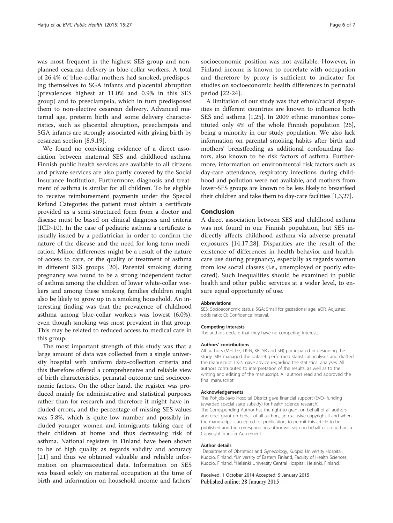was most frequent in the highest SES group and nonplanned cesarean delivery in blue-collar workers. A total of 26.4% of blue-collar mothers had smoked, predisposing themselves to SGA infants and placental abruption (prevalences highest at 11.0% and 0.9% in this SES group) and to preeclampsia, which in turn predisposed them to non-elective cesarean delivery. Advanced maternal age, preterm birth and some delivery characteristics, such as placental abruption, preeclampsia and SGA infants are strongly associated with giving birth by cesarean section [[8,9,19](#page-6-0)].

We found no convincing evidence of a direct association between maternal SES and childhood asthma. Finnish public health services are available to all citizens and private services are also partly covered by the Social Insurance Institution. Furthermore, diagnosis and treatment of asthma is similar for all children. To be eligible to receive reimbursement payments under the Special Refund Categories the patient must obtain a certificate provided as a semi-structured form from a doctor and disease must be based on clinical diagnosis and criteria (ICD-10). In the case of pediatric asthma a certificate is usually issued by a pediatrician in order to confirm the nature of the disease and the need for long-term medication. Minor differences might be a result of the nature of access to care, or the quality of treatment of asthma in different SES groups [[20](#page-6-0)]. Parental smoking during pregnancy was found to be a strong independent factor of asthma among the children of lower white-collar workers and among these smoking families children might also be likely to grow up in a smoking household. An interesting finding was that the prevalence of childhood asthma among blue-collar workers was lowest (6.0%), even though smoking was most prevalent in that group. This may be related to reduced access to medical care in this group.

The most important strength of this study was that a large amount of data was collected from a single university hospital with uniform data-collection criteria and this therefore offered a comprehensive and reliable view of birth characteristics, perinatal outcome and socioeconomic factors. On the other hand, the register was produced mainly for administrative and statistical purposes rather than for research and therefore it might have included errors, and the percentage of missing SES values was 5.8%, which is quite low number and possibly included younger women and immigrants taking care of their children at home and thus decreasing risk of asthma. National registers in Finland have been shown to be of high quality as regards validity and accuracy [[21\]](#page-6-0) and thus we obtained valuable and reliable information on pharmaceutical data. Information on SES was based solely on maternal occupation at the time of birth and information on household income and fathers'

socioeconomic position was not available. However, in Finland income is known to correlate with occupation and therefore by proxy is sufficient to indicator for studies on socioeconomic health differences in perinatal period [[22-24](#page-6-0)].

A limitation of our study was that ethnic/racial disparities in different countries are known to influence both SES and asthma [[1](#page-6-0),[25](#page-6-0)]. In 2009 ethnic minorities constituted only 4% of the whole Finnish population [\[26](#page-6-0)], being a minority in our study population. We also lack information on parental smoking habits after birth and mothers' breastfeeding as additional confounding factors, also known to be risk factors of asthma. Furthermore, information on environmental risk factors such as day-care attendance, respiratory infections during childhood and pollution were not available, and mothers from lower-SES groups are known to be less likely to breastfeed their children and take them to day-care facilities [[1,3,27](#page-6-0)].

#### Conclusion

A direct association between SES and childhood asthma was not found in our Finnish population, but SES indirectly affects childhood asthma via adverse prenatal exposures [\[14,17](#page-6-0),[28\]](#page-6-0). Disparities are the result of the existence of differences in health behavior and healthcare use during pregnancy, especially as regards women from low social classes (i.e., unemployed or poorly educated). Such inequalities should be examined in public health and other public services at a wider level, to ensure equal opportunity of use.

#### Abbreviations

SES: Socioeconomic status; SGA: Small for gestational age; aOR: Adjusted odds ratio; Cl: Confidence interval.

#### Competing interests

The authors declare that they have no competing interests.

#### Authors' contributions

All authors (MH, LG, LK-N, KR, SR and SH) participated in designing the study. MH managed the dataset, performed statistical analyses and drafted the manuscript. LK-N gave advice regarding the statistical analyses. All authors contributed to interpretation of the results, as well as to the writing and editing of the manuscript. All authors read and approved the final manuscript.

#### Acknowledgements

The Pohjois-Savo Hospital District gave financial support (EVO- funding (awarded special state subsidy) for health science research). The Corresponding Author has the right to grant on behalf of all authors and does grant on behalf of all authors, an exclusive copyright if and when the manuscript is accepted for publication, to permit this article to be published and the corresponding author will sign on behalf of co-authors a Copyright Transfer Agreement.

#### Author details

<sup>1</sup>Department of Obstetrics and Gynecology, Kuopio University Hospital, Kuopio, Finland. <sup>2</sup>University of Eastern Finland, Faculty of Health Sciences Kuopio, Finland. <sup>3</sup>Helsinki University Central Hospital, Helsinki, Finland

Received: 1 October 2014 Accepted: 5 January 2015 Published online: 28 January 2015